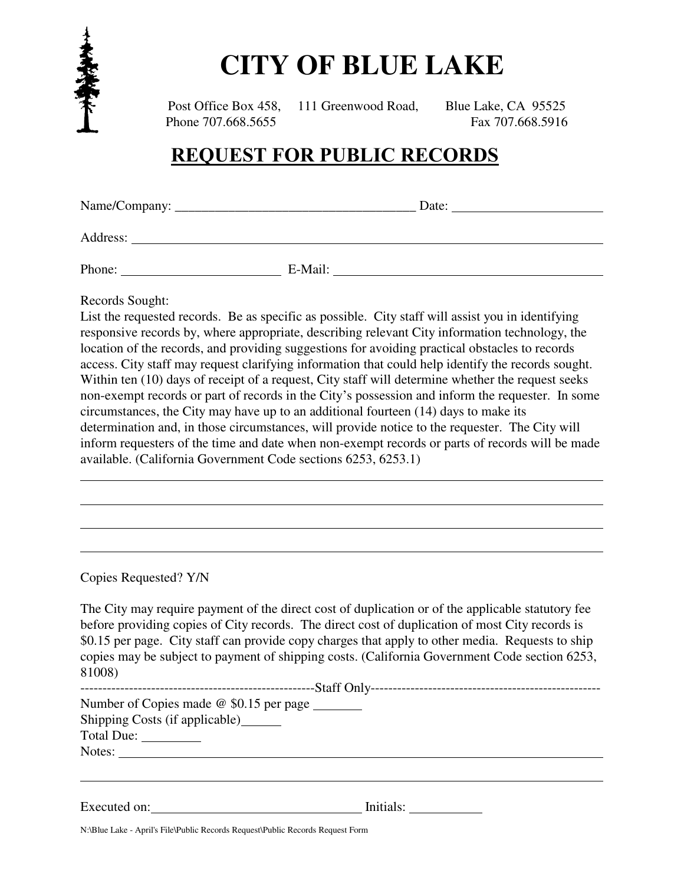

## **CITY OF BLUE LAKE**

Post Office Box 458, 111 Greenwood Road, Blue Lake, CA 95525 Phone 707.668.5655 **Fax 707.668.5916** 

## **REQUEST FOR PUBLIC RECORDS**

|          |         | Date: |
|----------|---------|-------|
| Address: |         |       |
| Phone:   | E-Mail: |       |

Records Sought:

 $\overline{a}$ 

 $\overline{a}$ 

List the requested records. Be as specific as possible. City staff will assist you in identifying responsive records by, where appropriate, describing relevant City information technology, the location of the records, and providing suggestions for avoiding practical obstacles to records access. City staff may request clarifying information that could help identify the records sought. Within ten (10) days of receipt of a request, City staff will determine whether the request seeks non-exempt records or part of records in the City's possession and inform the requester. In some circumstances, the City may have up to an additional fourteen (14) days to make its determination and, in those circumstances, will provide notice to the requester. The City will inform requesters of the time and date when non-exempt records or parts of records will be made available. (California Government Code sections 6253, 6253.1)

Copies Requested? Y/N

The City may require payment of the direct cost of duplication or of the applicable statutory fee before providing copies of City records. The direct cost of duplication of most City records is \$0.15 per page. City staff can provide copy charges that apply to other media. Requests to ship copies may be subject to payment of shipping costs. (California Government Code section 6253, 81008)

| Number of Copies made @ \$0.15 per page ________                              |           |  |  |  |
|-------------------------------------------------------------------------------|-----------|--|--|--|
| Shipping Costs (if applicable)                                                |           |  |  |  |
| $Total Due: \_\_\_\_\_\_\_\_\_\_\_\_\_\_\_\_\_\_\_\_\_\_\_\_\_\_\_\_\_\_\_\_$ |           |  |  |  |
| Notes: $\qquad \qquad$                                                        |           |  |  |  |
|                                                                               |           |  |  |  |
|                                                                               |           |  |  |  |
| Executed on:                                                                  | Initials: |  |  |  |

N:\Blue Lake - April's File\Public Records Request\Public Records Request Form